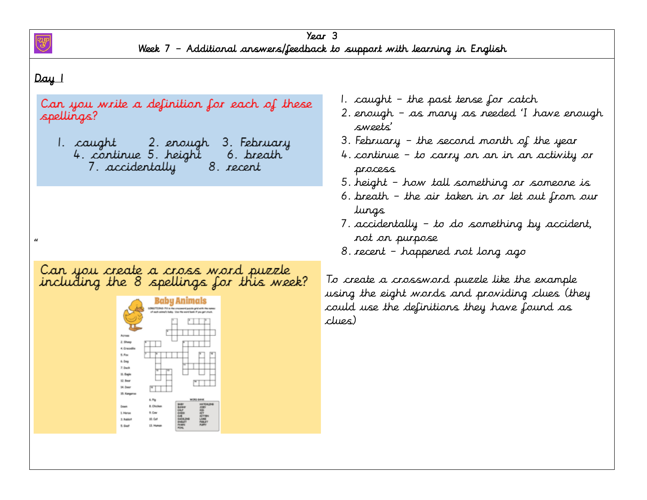

 $\alpha$ 

### Day 1

Can you write a definition for each of these spellings?

2. enough 3. February 1. caught 4. continue 5. height 6. breath 7. accidentally 8. recent

Can you create a cross word puzzle<br>including the 8 spellings for this week?



- 1. caught the past tense for catch
- 2. enough as many as needed 'I have enough sweets'
- 3. February the second month of the year
- 4. continue to carry on an in an activity or process
- 5. height how tall something or someone is
- 6. breath the air taken in or let out from our lungs
- 7. accidentally to do something by accident, not on purpose
- 8. recent happened not long ago

To create a crossword puzzle like the example using the eight words and providing clues (they could use the definitions they have found as clues)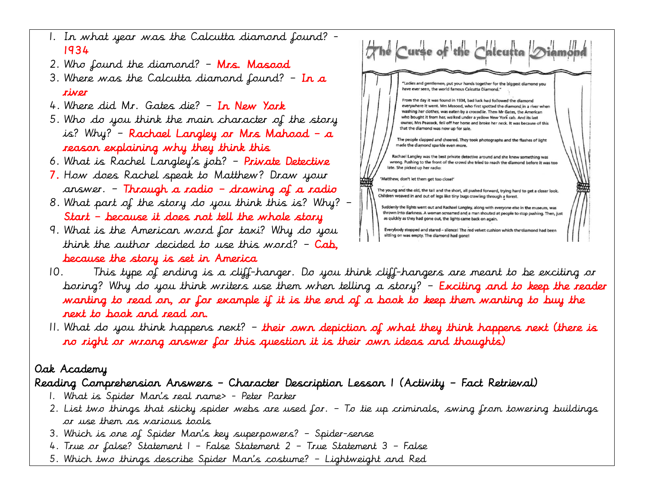- 1. In what year was the Calcutta diamond found? 1934
- 2. Who found the diamond? Mrs. Masood
- 3. Where was the Calcutta diamond found?  $-$  In a river
- 4. Where did Mr. Gates die? In New York
- 5. Who do you think the main character of the story is? Why? – Rachael Langley or Mrs Mahood – a reason explaining why they think this
- 6. What is Rachel Langley's job? Private Detective
- 7. How does Rachel speak to Matthew? Draw your answer. – Through a radio – drawing of a radio
- 8. What part of the story do you think this is? Why? Start – because it does not tell the whole story
- 9. What is the American word for taxi? Why do you think the author decided to use this word?  $-$  Cab, because the story is set in America



- 10. This type of ending is a cliff-hanger. Do you think cliff-hangers are meant to be exciting or boring? Why do you think writers use them when telling a story? – Exciting and to keep the reader wanting to read on, or for example if it is the end of a book to keep them wanting to buy the next to book and read on.
- 11. What do you think happens next? their own depiction of what they think happens next (there is no right or wrong answer for this question it is their own ideas and thoughts)

## Oak Academy

# Reading Comprehension Answers – Character Description Lesson 1 (Activity – Fact Retrieval)

- 1. What is Spider Man's real name> Peter Parker
- 2. List two things that sticky spider webs are used for. To tie up criminals, swing from towering buildings or use them as various tools
- 3. Which is one of Spider Man's key superpowers? Spider-sense
- 4. True or false? Statement 1 False Statement 2 True Statement 3 False
- 5. Which two things describe Spider Man's costume? Lightweight and Red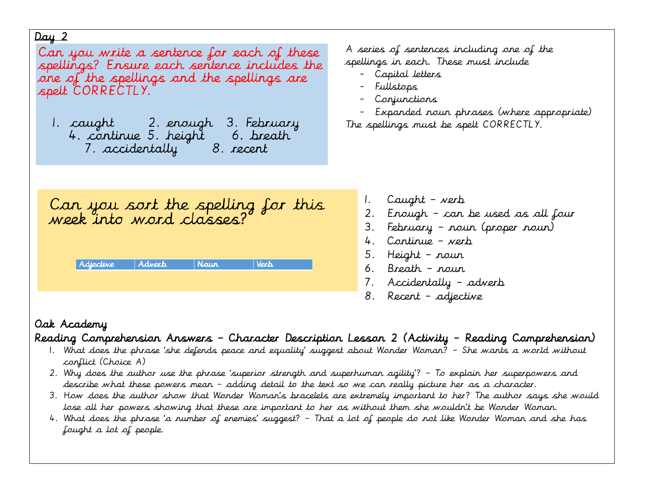Can you write a sentence for each of these spellings? Ensure each sentence includes the one of the spellings and the spellings are spelt CORRECTLY.

7. accidentally 8. recent

A series of sentences including one of the spellings in each. These must include

- Capital letters
- Fullstops
- Conjunctions

- Expanded noun phrases (where appropriate) The spellings must be spelt CORRECTLY.

Can you sort the spelling for this<br>week into word classes?

| Adjective | Adverb | Naur | <b>Mort</b> |
|-----------|--------|------|-------------|
|           |        |      |             |

- 1. Caught verb
- 2. Enough can be used as all four
- 3. February noun (proper noun)
- 4. Continue verb
- 5. Height noun
- 6. Breath noun
- 7. Accidentally adverb
- 8. Recent adjective

# Oak Academy

## Reading Comprehension Answers – Character Description Lesson 2 (Activity – Reading Comprehension)

- 1. What does the phrase 'she defends peace and equality' suggest about Wonder Woman? She wants a world without conflict (Choice A)
- 2. Why does the author use the phrase 'superior strength and superhuman agility'? To explain her superpowers and describe what these powers mean – adding detail to the text so we can really picture her as a character.
- 3. How does the author show that Wonder Woman's bracelets are extremely important to her? The author says she would lose all her powers showing that these are important to her as without them she wouldn't be Wonder Woman.
- 4. What does the phrase 'a number of enemies' suggest? That a lot of people do not like Wonder Woman and she has fought a lot of people.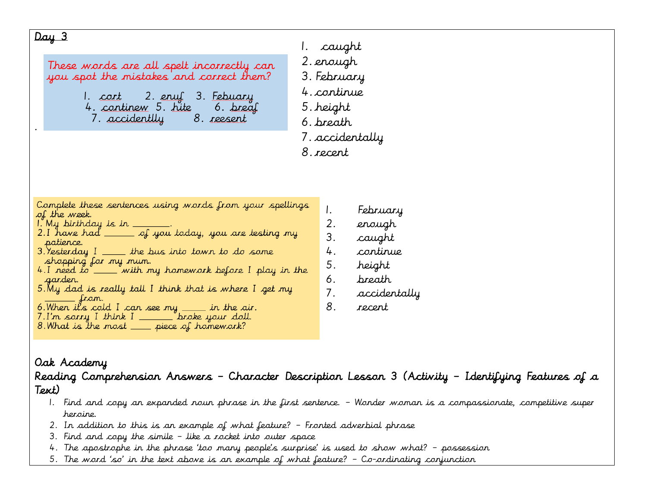1. caught 2. enough These words are all spelt incorrectly can you spot the mistakes and correct them? 3. February 4. continue 2. enul 3. Febuary 1. cort 4. continew 5. hite 6. <u>brea</u>f 5. height 7. accidentlly 8. reesent 6. breath . 7. accidentally 8. recentComplete these sentences using words from your spellings 1. February of the week. 1. My birthday is in \_\_ 2. enough 2.I have had  $\rule{1em}{0.15mm}$  of you today, you are testing my 3. caught patience.  $3.$  Yesterday  $I \_\_$  the bus into town to do some 4. continue shopping for my mum. 5. height 4.I need to \_\_\_\_ with my homework before I play in the 6. breath garder. 5. My dad is really tall I think that is where I get my 7. accidentally  $=$  from. 8. recent 6. When it's cold I can see my  $\_\_\_\_\$  in the air.  $7.1'm$  sorry I think  $I$  \_\_\_\_\_\_\_ broke your doll. 8. What is the most \_\_\_ piece of homework?

## Oak Academy

Reading Comprehension Answers – Character Description Lesson 3 (Activity – Identifying Features of a Text)

- 1. Find and copy an expanded noun phrase in the first sentence. Wonder woman is a compassionate, competitive super heroine.
- 2. In addition to this is an example of what feature? Fronted adverbial phrase
- 3. Find and copy the simile like a rocket into outer space
- 4. The apostrophe in the phrase 'too many people's surprise' is used to show what? possession
- 5. The word 'so' in the text above is an example of what feature? Co-ordinating conjunction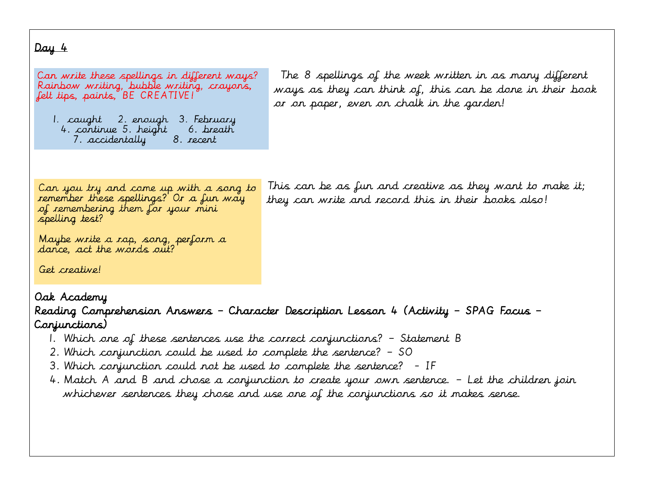Can write these spellings in different ways? Rainbow writing, bubble writing, crayons, felt tips, paints, BE CREATIVE!

1. caught 2. enough 3. February 4. continue 5. height 6. breath 8. recent 7. accidentally

The 8 spellings of the week written in as many different ways as they can think of, this can be done in their book or on paper, even on chalk in the garden!

Can you try and come up with a song to remember these spellings? Or a fun way of remembering them for your mini spelling test?

This can be as fun and creative as they want to make it; they can write and record this in their books also!

Maybe write a rap, song, perform a dance, act the words out?

Get creative!

### Oak Academy

Reading Comprehension Answers – Character Description Lesson 4 (Activity – SPAG Focus – Conjunctions)

- 1. Which one of these sentences use the correct conjunctions? Statement B
- 2. Which conjunction could be used to complete the sentence? SO
- 3. Which conjunction could not be used to complete the sentence? IF
- 4. Match A and B and chose a conjunction to create your own sentence. Let the children join whichever sentences they chose and use one of the conjunctions so it makes sense.